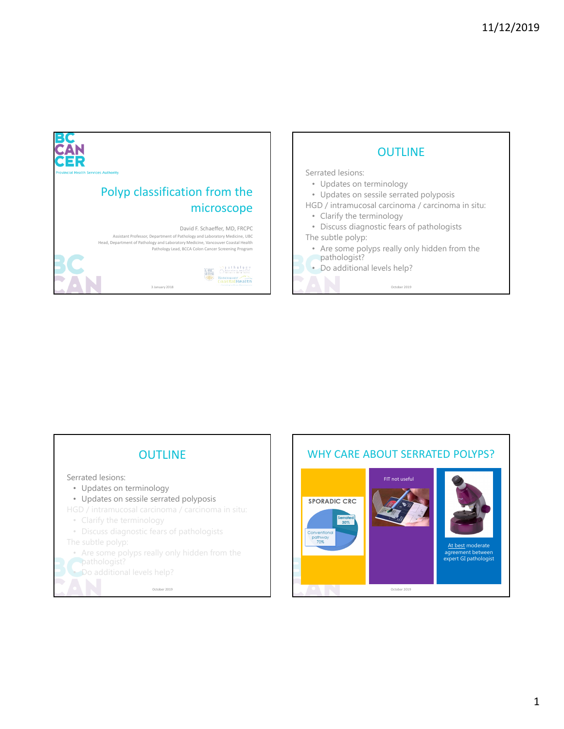



# WHY CARE ABOUT SERRATED POLYPS?

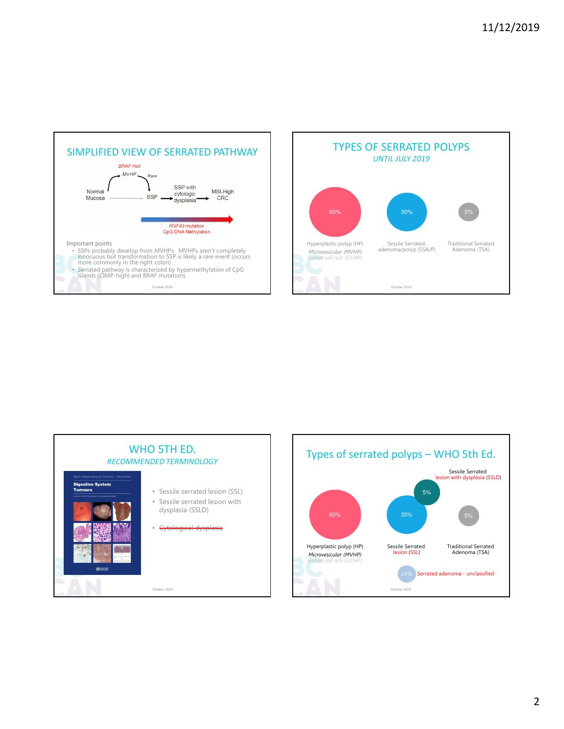





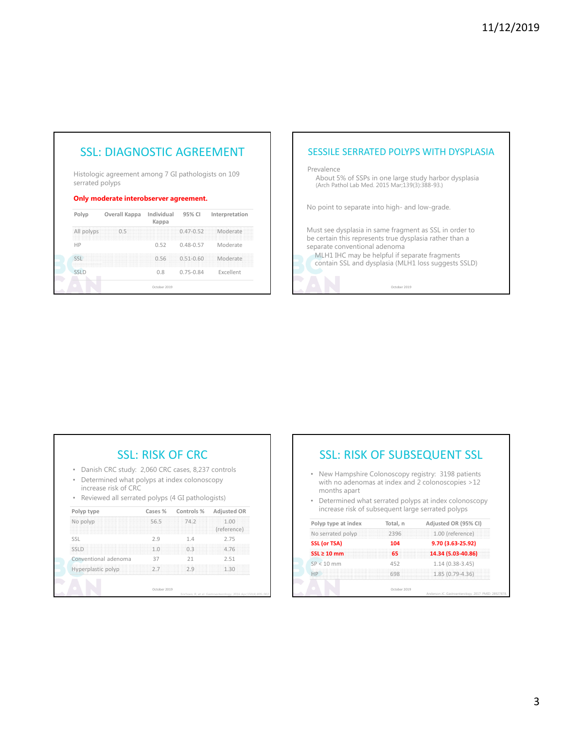# SSL: DIAGNOSTIC AGREEMENT

Histologic agreement among 7 GI pathologists on 109 serrated polyps

#### Only moderate interobserver agreement.

| Polyp      | Overall Kappa | Individual<br>Kappa | 95% CI        | Interpretation |
|------------|---------------|---------------------|---------------|----------------|
| All polyps | 0.5           |                     | $0.47 - 0.52$ | Moderate       |
| HP         |               | 0.52                | $0.48 - 0.57$ | Moderate       |
| <          |               | 0.56                | $0.51 - 0.60$ | Moderate       |
| SSLD       |               | 0.8                 | $0.75 - 0.84$ | Excellent      |
|            |               | October 2019        |               |                |

# SESSILE SERRATED POLYPS WITH DYSPLASIA

Prevalence

About 5% of SSPs in one large study harbor dysplasia (Arch Pathol Lab Med. 2015 Mar;139(3):388-93.)

No point to separate into high- and low-grade.

Must see dysplasia in same fragment as SSL in order to be certain this represents true dysplasia rather than a separate conventional adenoma

MLH1 IHC may be helpful if separate fragments contain SSL and dysplasia (MLH1 loss suggests SSLD)

October 2019

| Danish CRC study: 2,060 CRC cases, 8,237 controls<br>۰<br>Determined what polyps at index colonoscopy<br>۰<br>increase risk of CRC<br>• Reviewed all serrated polyps (4 GI pathologists) |         |            |                     |  |  |  |
|------------------------------------------------------------------------------------------------------------------------------------------------------------------------------------------|---------|------------|---------------------|--|--|--|
| Polyp type                                                                                                                                                                               | Cases % | Controls % | <b>Adjusted OR</b>  |  |  |  |
| No polyp                                                                                                                                                                                 | 56.5    | 74.2       | 1.00<br>(reference) |  |  |  |
| SSL                                                                                                                                                                                      | 2.9     | 1.4        | 2.75                |  |  |  |
| <b>SSLD</b>                                                                                                                                                                              | 1.0     | 03         | 4.76                |  |  |  |
| Conventional adenoma                                                                                                                                                                     | 37      | 21         | 2.51                |  |  |  |
|                                                                                                                                                                                          | 2.7     | 2.9        | 1.30                |  |  |  |

# SSL: RISK OF SUBSEQUENT SSL

- New Hampshire Colonoscopy registry: 3198 patients with no adenomas at index and 2 colonoscopies >12 months apart
- Determined what serrated polyps at index colonoscopy increase risk of subsequent large serrated polyps

| Polyp type at index | Total, n | Adjusted OR (95% CI) |
|---------------------|----------|----------------------|
| No serrated polyp   | 2396     | 1.00 (reference)     |
| SSL (or TSA)        | 104      | 9.70 (3.63-25.92)    |
| $SSL \geq 10$ mm    | 65       | 14.34 (5.03-40.86)   |
| $SP < 10$ mm        | 452      | $1.14(0.38-3.45)$    |
| HP                  | 698      | 1.85 (0.79-4.36)     |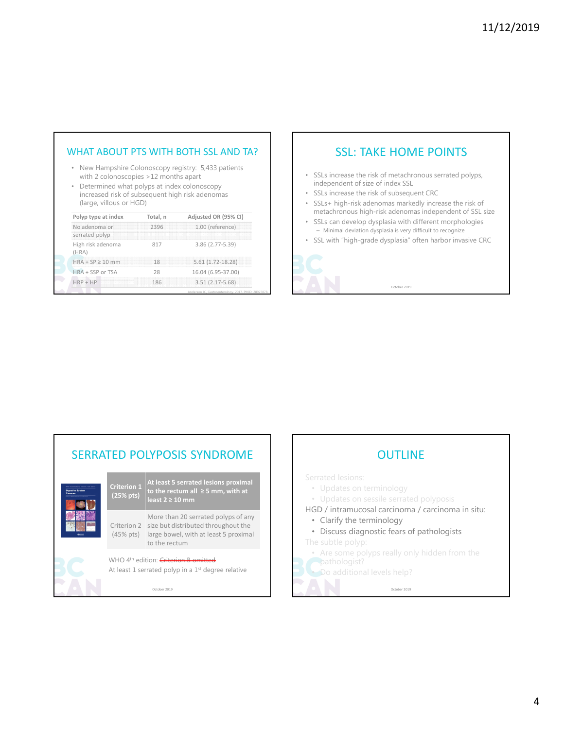# WHAT ABOUT PTS WITH BOTH SSL AND TA?

- New Hampshire Colonoscopy registry: 5,433 patients with 2 colonoscopies >12 months apart
- Determined what polyps at index colonoscopy increased risk of subsequent high risk adenomas (large, villous or HGD)

| Polyp type at index             | Total, n | Adjusted OR (95% CI)                                 |  |
|---------------------------------|----------|------------------------------------------------------|--|
| No adenoma or<br>serrated polyp | 2396     | 1.00 (reference)                                     |  |
| High risk adenoma<br>(HRA)      | 817      | 3.86 (2.77-5.39)                                     |  |
| $HRA + SP > 10$ mm              | 18       | 5.61 (1.72-18.28)                                    |  |
| HRA + SSP or TSA                | 28       | 16.04 (6.95-37.00)                                   |  |
| $HRP + HP$                      | 186      | $3.51(2.17-5.68)$                                    |  |
|                                 |          | Anderson JC. Gastroenterology, 2017, PMID: 28927878. |  |

# SSL: TAKE HOME POINTS

- SSLs increase the risk of metachronous serrated polyps, independent of size of index SSL
- SSLs increase the risk of subsequent CRC
- SSLs+ high-risk adenomas markedly increase the risk of metachronous high-risk adenomas independent of SSL size
- SSLs can develop dysplasia with different morphologies – Minimal deviation dysplasia is very difficult to recognize
- SSL with "high-grade dysplasia" often harbor invasive CRC



October 2019

### SERRATED POLYPOSIS SYNDROME Criterion 1 (25% pts) At least 5 serrated lesions proximal to the rectum all ≥ 5 mm, with at least 2 ≥ 10 mm Criterion 2 size but distributed throughout the (45% pts) large bowel, with at least 5 proximal More than 20 serrated polyps of any to the rectum WHO 4<sup>th</sup> edition: Criteri At least 1 serrated polyp in a 1<sup>st</sup> degree relative

October 2019

# **OUTLINE** • Updates on terminology • Updates on sessile serrated polyposis HGD / intramucosal carcinoma / carcinoma in situ: • Clarify the terminology • Discuss diagnostic fears of pathologists • Are some polyps really only hidden from the pathologist?

October 2019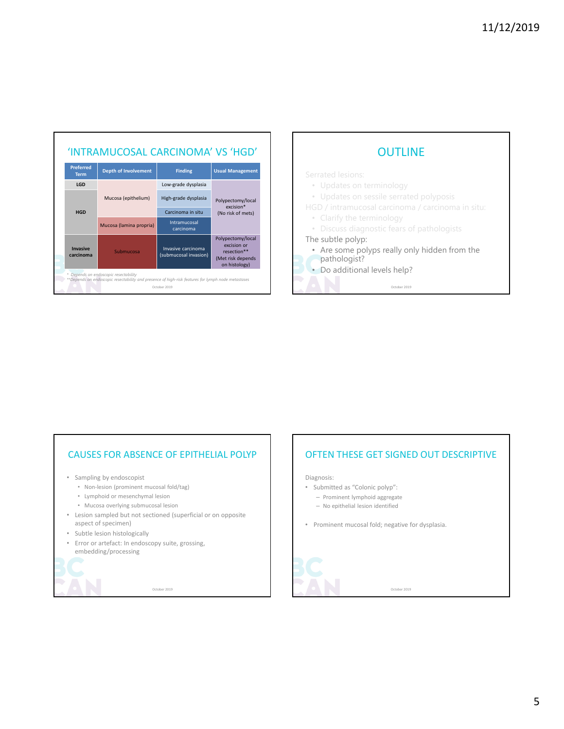

# **OUTLINE**

- Updates on terminology
- Updates on sessile serrated polyposis

HGD / intramucosal carcinoma / carcinoma in situ:

- Clarify the terminology
- Discuss diagnostic fears of pathologists

#### The subtle polyp:

- Are some polyps really only hidden from the pathologist?
- Do additional levels help?

October 2019

## CAUSES FOR ABSENCE OF EPITHELIAL POLYP

- Sampling by endoscopist
	- Non-lesion (prominent mucosal fold/tag)
	- Lymphoid or mesenchymal lesion
	- Mucosa overlying submucosal lesion
- Lesion sampled but not sectioned (superficial or on opposite aspect of specimen)
- Subtle lesion histologically
- Error or artefact: In endoscopy suite, grossing, embedding/processing



October 2019

## OFTEN THESE GET SIGNED OUT DESCRIPTIVE

Diagnosis:

- Submitted as "Colonic polyp": – Prominent lymphoid aggregate
	- No epithelial lesion identified
	-
- Prominent mucosal fold; negative for dysplasia.



October 2019